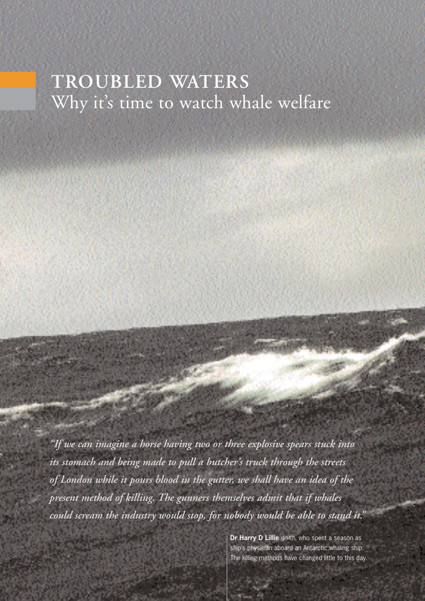# **TROUBLED WATERS** Why it's time to watch whale welfare

*"If we can imagine a horse having two or three explosive spears stuck into its stomach and being made to pull a butcher's truck through the streets of London while it pours blood in the gutter, we shall have an idea of the present method of killing. The gunners themselves admit that if whales could scream the industry would stop, for nobody would be able to stand it."*

> **Dr Harry D Lillie** (1947), who spent a season as ship's physician aboard an Antarctic whaling ship. The killing methods have changed little to this day.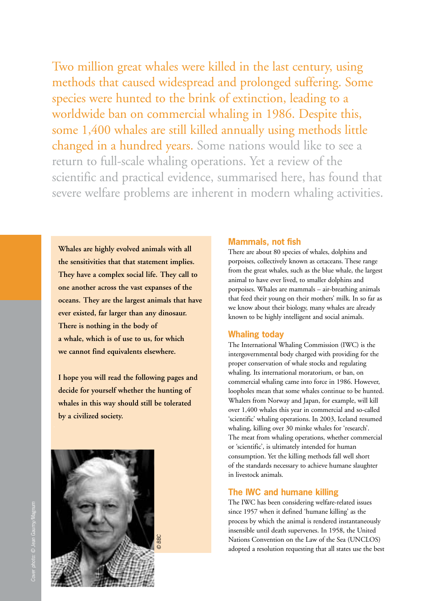Two million great whales were killed in the last century, using methods that caused widespread and prolonged suffering. Some species were hunted to the brink of extinction, leading to a worldwide ban on commercial whaling in 1986. Despite this, some 1,400 whales are still killed annually using methods little changed in a hundred years. Some nations would like to see a return to full-scale whaling operations. Yet a review of the scientific and practical evidence, summarised here, has found that severe welfare problems are inherent in modern whaling activities.

**Whales are highly evolved animals with all the sensitivities that that statement implies. They have a complex social life. They call to one another across the vast expanses of the oceans. They are the largest animals that have ever existed, far larger than any dinosaur. There is nothing in the body of a whale, which is of use to us, for which we cannot find equivalents elsewhere.**

**I hope you will read the following pages and decide for yourself whether the hunting of whales in this way should still be tolerated by a civilized society.**



#### **Mammals, not fish**

There are about 80 species of whales, dolphins and porpoises, collectively known as cetaceans. These range from the great whales, such as the blue whale, the largest animal to have ever lived, to smaller dolphins and porpoises. Whales are mammals – air-breathing animals that feed their young on their mothers' milk. In so far as we know about their biology, many whales are already known to be highly intelligent and social animals.

#### **Whaling today**

The International Whaling Commission (IWC) is the intergovernmental body charged with providing for the proper conservation of whale stocks and regulating whaling. Its international moratorium, or ban, on commercial whaling came into force in 1986. However, loopholes mean that some whales continue to be hunted. Whalers from Norway and Japan, for example, will kill over 1,400 whales this year in commercial and so-called 'scientific' whaling operations. In 2003, Iceland resumed whaling, killing over 30 minke whales for 'research'. The meat from whaling operations, whether commercial or 'scientific', is ultimately intended for human consumption. Yet the killing methods fall well short of the standards necessary to achieve humane slaughter in livestock animals.

## **The IWC and humane killing**

The IWC has been considering welfare-related issues since 1957 when it defined 'humane killing' as the process by which the animal is rendered instantaneously insensible until death supervenes. In 1958, the United Nations Convention on the Law of the Sea (UNCLOS) adopted a resolution requesting that all states use the best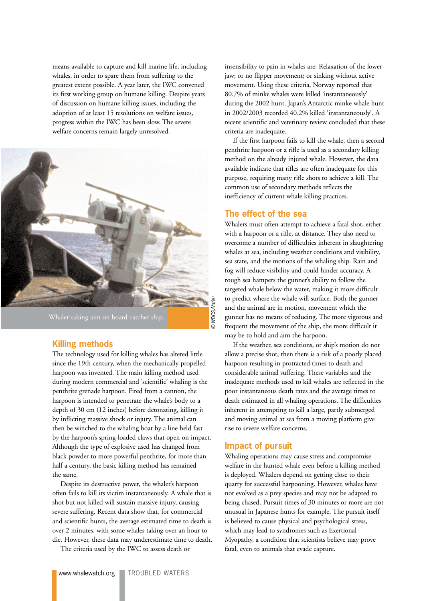means available to capture and kill marine life, including whales, in order to spare them from suffering to the greatest extent possible. A year later, the IWC convened its first working group on humane killing. Despite years of discussion on humane killing issues, including the adoption of at least 15 resolutions on welfare issues, progress within the IWC has been slow. The severe welfare concerns remain largely unresolved.



Whaler taking aim on board catcher ship.

#### **Killing methods**

The technology used for killing whales has altered little since the 19th century, when the mechanically propelled harpoon was invented. The main killing method used during modern commercial and 'scientific' whaling is the penthrite grenade harpoon. Fired from a cannon, the harpoon is intended to penetrate the whale's body to a depth of 30 cm (12 inches) before detonating, killing it by inflicting massive shock or injury. The animal can then be winched to the whaling boat by a line held fast by the harpoon's spring-loaded claws that open on impact. Although the type of explosive used has changed from black powder to more powerful penthrite, for more than half a century, the basic killing method has remained the same.

Despite its destructive power, the whaler's harpoon often fails to kill its victim instantaneously. A whale that is shot but not killed will sustain massive injury, causing severe suffering. Recent data show that, for commercial and scientific hunts, the average estimated time to death is over 2 minutes, with some whales taking over an hour to die. However, these data may underestimate time to death.

The criteria used by the IWC to assess death or

insensibility to pain in whales are: Relaxation of the lower jaw; or no flipper movement; or sinking without active movement. Using these criteria, Norway reported that 80.7% of minke whales were killed 'instantaneously' during the 2002 hunt. Japan's Antarctic minke whale hunt in 2002/2003 recorded 40.2% killed 'instantaneously'. A recent scientific and veterinary review concluded that these criteria are inadequate.

If the first harpoon fails to kill the whale, then a second penthrite harpoon or a rifle is used as a secondary killing method on the already injured whale. However, the data available indicate that rifles are often inadequate for this purpose, requiring many rifle shots to achieve a kill. The common use of secondary methods reflects the inefficiency of current whale killing practices.

#### **The effect of the sea**

Whalers must often attempt to achieve a fatal shot, either with a harpoon or a rifle, at distance. They also need to overcome a number of difficulties inherent in slaughtering whales at sea, including weather conditions and visibility, sea state, and the motions of the whaling ship. Rain and fog will reduce visibility and could hinder accuracy. A rough sea hampers the gunner's ability to follow the targeted whale below the water, making it more difficult to predict where the whale will surface. Both the gunner and the animal are in motion, movement which the gunner has no means of reducing. The more vigorous and frequent the movement of the ship, the more difficult it may be to hold and aim the harpoon.

If the weather, sea conditions, or ship's motion do not allow a precise shot, then there is a risk of a poorly placed harpoon resulting in protracted times to death and considerable animal suffering. These variables and the inadequate methods used to kill whales are reflected in the poor instantaneous death rates and the average times to death estimated in all whaling operations. The difficulties inherent in attempting to kill a large, partly submerged and moving animal at sea from a moving platform give rise to severe welfare concerns.

#### **Impact of pursuit**

Whaling operations may cause stress and compromise welfare in the hunted whale even before a killing method is deployed. Whalers depend on getting close to their quarry for successful harpooning. However, whales have not evolved as a prey species and may not be adapted to being chased. Pursuit times of 30 minutes or more are not unusual in Japanese hunts for example. The pursuit itself is believed to cause physical and psychological stress, which may lead to syndromes such as Exertional Myopathy, a condition that scientists believe may prove fatal, even to animals that evade capture.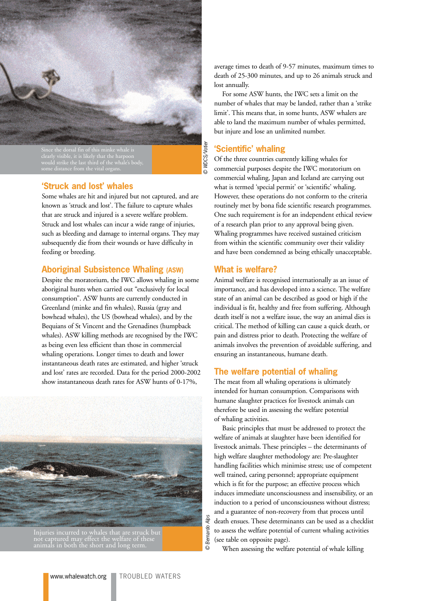

clearly visible, it is likely that the harpoon

**WDCS/Votier** © Bernardo Alps © WDCS/Votier

Bernardo Alps

# **'Struck and lost' whales**

Some whales are hit and injured but not captured, and are known as 'struck and lost'. The failure to capture whales that are struck and injured is a severe welfare problem. Struck and lost whales can incur a wide range of injuries, such as bleeding and damage to internal organs. They may subsequently die from their wounds or have difficulty in feeding or breeding.

#### **Aboriginal Subsistence Whaling (ASW)**

Despite the moratorium, the IWC allows whaling in some aboriginal hunts when carried out "exclusively for local consumption". ASW hunts are currently conducted in Greenland (minke and fin whales), Russia (gray and bowhead whales), the US (bowhead whales), and by the Bequians of St Vincent and the Grenadines (humpback whales). ASW killing methods are recognised by the IWC as being even less efficient than those in commercial whaling operations. Longer times to death and lower instantaneous death rates are estimated, and higher 'struck and lost' rates are recorded. Data for the period 2000-2002 show instantaneous death rates for ASW hunts of 0-17%,



Injuries incurred to whales that are struck but not captured may effect the welfare of these animals in both the short and long term.

average times to death of 9-57 minutes, maximum times to death of 25-300 minutes, and up to 26 animals struck and lost annually.

For some ASW hunts, the IWC sets a limit on the number of whales that may be landed, rather than a 'strike limit'. This means that, in some hunts, ASW whalers are able to land the maximum number of whales permitted, but injure and lose an unlimited number.

# **'Scientific' whaling**

Of the three countries currently killing whales for commercial purposes despite the IWC moratorium on commercial whaling, Japan and Iceland are carrying out what is termed 'special permit' or 'scientific' whaling. However, these operations do not conform to the criteria routinely met by bona fide scientific research programmes. One such requirement is for an independent ethical review of a research plan prior to any approval being given. Whaling programmes have received sustained criticism from within the scientific community over their validity and have been condemned as being ethically unacceptable.

#### **What is welfare?**

Animal welfare is recognised internationally as an issue of importance, and has developed into a science. The welfare state of an animal can be described as good or high if the individual is fit, healthy and free from suffering. Although death itself is not a welfare issue, the way an animal dies is critical. The method of killing can cause a quick death, or pain and distress prior to death. Protecting the welfare of animals involves the prevention of avoidable suffering, and ensuring an instantaneous, humane death.

#### **The welfare potential of whaling**

The meat from all whaling operations is ultimately intended for human consumption. Comparisons with humane slaughter practices for livestock animals can therefore be used in assessing the welfare potential of whaling activities.

Basic principles that must be addressed to protect the welfare of animals at slaughter have been identified for livestock animals. These principles – the determinants of high welfare slaughter methodology are: Pre-slaughter handling facilities which minimise stress; use of competent well trained, caring personnel; appropriate equipment which is fit for the purpose; an effective process which induces immediate unconsciousness and insensibility, or an induction to a period of unconsciousness without distress; and a guarantee of non-recovery from that process until death ensues. These determinants can be used as a checklist to assess the welfare potential of current whaling activities (see table on opposite page).

When assessing the welfare potential of whale killing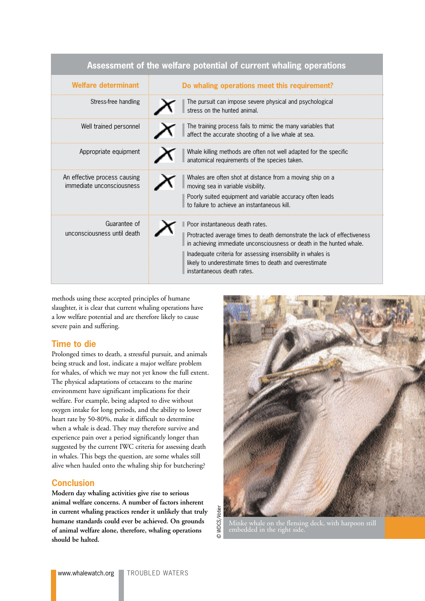| Assessment of the welfare potential of current whaling operations |                                                                                                                                                                                                                                                                                                                                             |
|-------------------------------------------------------------------|---------------------------------------------------------------------------------------------------------------------------------------------------------------------------------------------------------------------------------------------------------------------------------------------------------------------------------------------|
| Welfare determinant                                               | Do whaling operations meet this requirement?                                                                                                                                                                                                                                                                                                |
| Stress-free handling                                              | The pursuit can impose severe physical and psychological<br>stress on the hunted animal.                                                                                                                                                                                                                                                    |
| Well trained personnel                                            | The training process fails to mimic the many variables that<br>affect the accurate shooting of a live whale at sea.                                                                                                                                                                                                                         |
| Appropriate equipment                                             | Whale killing methods are often not well adapted for the specific<br>anatomical requirements of the species taken.                                                                                                                                                                                                                          |
| An effective process causing<br>immediate unconsciousness         | Whales are often shot at distance from a moving ship on a<br>moving sea in variable visibility.<br>Poorly suited equipment and variable accuracy often leads<br>to failure to achieve an instantaneous kill.                                                                                                                                |
| Guarantee of<br>unconsciousness until death                       | Poor instantaneous death rates.<br>Protracted average times to death demonstrate the lack of effectiveness<br>in achieving immediate unconsciousness or death in the hunted whale.<br>Inadequate criteria for assessing insensibility in whales is<br>likely to underestimate times to death and overestimate<br>instantaneous death rates. |

methods using these accepted principles of humane slaughter, it is clear that current whaling operations have a low welfare potential and are therefore likely to cause severe pain and suffering.

# **Time to die**

Prolonged times to death, a stressful pursuit, and animals being struck and lost, indicate a major welfare problem for whales, of which we may not yet know the full extent. The physical adaptations of cetaceans to the marine environment have significant implications for their welfare. For example, being adapted to dive without oxygen intake for long periods, and the ability to lower heart rate by 50-80%, make it difficult to determine when a whale is dead. They may therefore survive and experience pain over a period significantly longer than suggested by the current IWC criteria for assessing death in whales. This begs the question, are some whales still alive when hauled onto the whaling ship for butchering?

# **Conclusion**

**Modern day whaling activities give rise to serious animal welfare concerns. A number of factors inherent in current whaling practices render it unlikely that truly humane standards could ever be achieved. On grounds of animal welfare alone, therefore, whaling operations should be halted.**



Minke whale on the flensing deck, with harpoon still embedded in the right side.